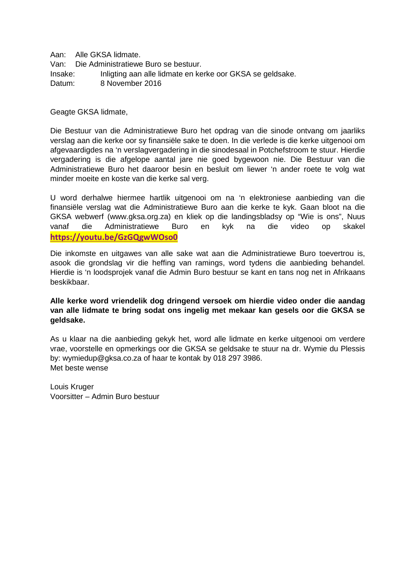Aan: Alle GKSA lidmate. Van: Die Administratiewe Buro se bestuur. Insake: Inligting aan alle lidmate en kerke oor GKSA se geldsake. Datum: 8 November 2016

Geagte GKSA lidmate,

Die Bestuur van die Administratiewe Buro het opdrag van die sinode ontvang om jaarliks verslag aan die kerke oor sy finansiële sake te doen. In die verlede is die kerke uitgenooi om afgevaardigdes na 'n verslagvergadering in die sinodesaal in Potchefstroom te stuur. Hierdie vergadering is die afgelope aantal jare nie goed bygewoon nie. Die Bestuur van die Administratiewe Buro het daaroor besin en besluit om liewer 'n ander roete te volg wat minder moeite en koste van die kerke sal verg.

U word derhalwe hiermee hartlik uitgenooi om na 'n elektroniese aanbieding van die finansiële verslag wat die Administratiewe Buro aan die kerke te kyk. Gaan bloot na die GKSA webwerf (www.gksa.org.za) en kliek op die landingsbladsy op "Wie is ons", Nuus vanaf die Administratiewe Buro en kyk na die video op skakel **https://youtu.be/GzGQgwWOso0**

Die inkomste en uitgawes van alle sake wat aan die Administratiewe Buro toevertrou is, asook die grondslag vir die heffing van ramings, word tydens die aanbieding behandel. Hierdie is 'n loodsprojek vanaf die Admin Buro bestuur se kant en tans nog net in Afrikaans beskikbaar.

**Alle kerke word vriendelik dog dringend versoek om hierdie video onder die aandag van alle lidmate te bring sodat ons ingelig met mekaar kan gesels oor die GKSA se geldsake.** 

As u klaar na die aanbieding gekyk het, word alle lidmate en kerke uitgenooi om verdere vrae, voorstelle en opmerkings oor die GKSA se geldsake te stuur na dr. Wymie du Plessis by: wymiedup@gksa.co.za of haar te kontak by 018 297 3986. Met beste wense

Louis Kruger Voorsitter – Admin Buro bestuur